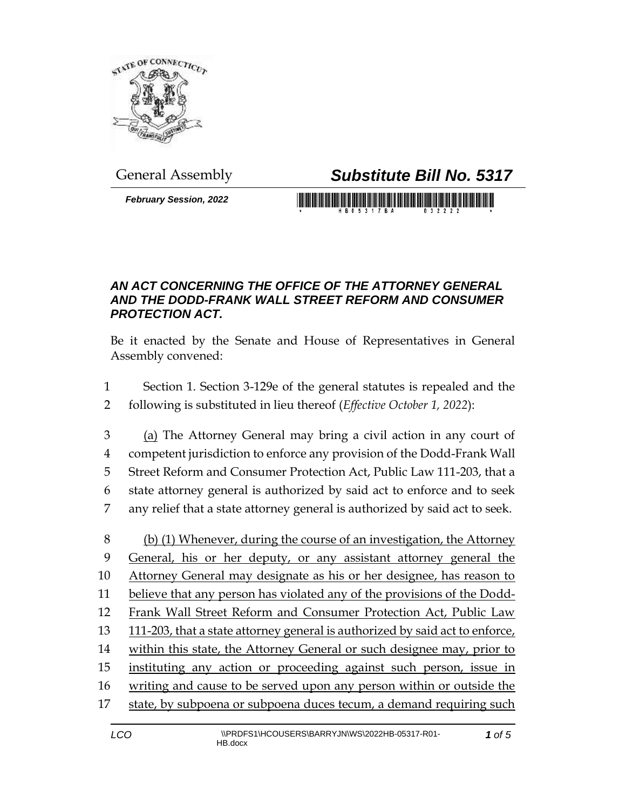

# General Assembly *Substitute Bill No. 5317*

*February Session, 2022*

# 

#### *AN ACT CONCERNING THE OFFICE OF THE ATTORNEY GENERAL AND THE DODD-FRANK WALL STREET REFORM AND CONSUMER PROTECTION ACT.*

Be it enacted by the Senate and House of Representatives in General Assembly convened:

- Section 1. Section 3-129e of the general statutes is repealed and the following is substituted in lieu thereof (*Effective October 1, 2022*):
- (a) The Attorney General may bring a civil action in any court of competent jurisdiction to enforce any provision of the Dodd-Frank Wall Street Reform and Consumer Protection Act, Public Law 111-203, that a state attorney general is authorized by said act to enforce and to seek any relief that a state attorney general is authorized by said act to seek.
- (b) (1) Whenever, during the course of an investigation, the Attorney General, his or her deputy, or any assistant attorney general the Attorney General may designate as his or her designee, has reason to believe that any person has violated any of the provisions of the Dodd- Frank Wall Street Reform and Consumer Protection Act, Public Law 111-203, that a state attorney general is authorized by said act to enforce, within this state, the Attorney General or such designee may, prior to instituting any action or proceeding against such person, issue in writing and cause to be served upon any person within or outside the state, by subpoena or subpoena duces tecum, a demand requiring such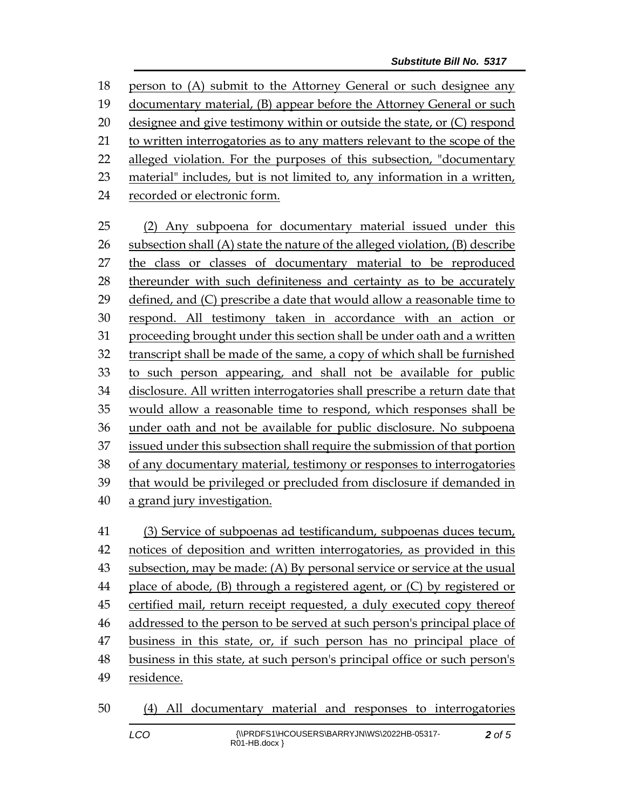person to (A) submit to the Attorney General or such designee any 19 documentary material, (B) appear before the Attorney General or such designee and give testimony within or outside the state, or (C) respond to written interrogatories as to any matters relevant to the scope of the alleged violation. For the purposes of this subsection, "documentary material" includes, but is not limited to, any information in a written, recorded or electronic form. (2) Any subpoena for documentary material issued under this subsection shall (A) state the nature of the alleged violation, (B) describe the class or classes of documentary material to be reproduced thereunder with such definiteness and certainty as to be accurately 29 defined, and  $(C)$  prescribe a date that would allow a reasonable time to respond. All testimony taken in accordance with an action or proceeding brought under this section shall be under oath and a written transcript shall be made of the same, a copy of which shall be furnished to such person appearing, and shall not be available for public disclosure. All written interrogatories shall prescribe a return date that would allow a reasonable time to respond, which responses shall be under oath and not be available for public disclosure. No subpoena issued under this subsection shall require the submission of that portion of any documentary material, testimony or responses to interrogatories that would be privileged or precluded from disclosure if demanded in a grand jury investigation. (3) Service of subpoenas ad testificandum, subpoenas duces tecum, notices of deposition and written interrogatories, as provided in this subsection, may be made: (A) By personal service or service at the usual place of abode, (B) through a registered agent, or (C) by registered or certified mail, return receipt requested, a duly executed copy thereof addressed to the person to be served at such person's principal place of business in this state, or, if such person has no principal place of business in this state, at such person's principal office or such person's residence. (4) All documentary material and responses to interrogatories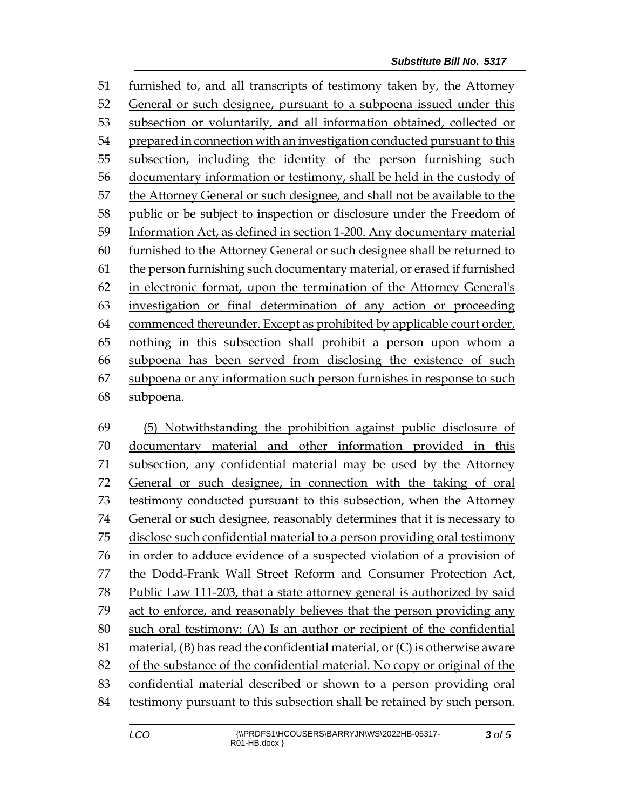furnished to, and all transcripts of testimony taken by, the Attorney General or such designee, pursuant to a subpoena issued under this subsection or voluntarily, and all information obtained, collected or prepared in connection with an investigation conducted pursuant to this subsection, including the identity of the person furnishing such documentary information or testimony, shall be held in the custody of the Attorney General or such designee, and shall not be available to the public or be subject to inspection or disclosure under the Freedom of Information Act, as defined in section 1-200. Any documentary material furnished to the Attorney General or such designee shall be returned to the person furnishing such documentary material, or erased if furnished in electronic format, upon the termination of the Attorney General's investigation or final determination of any action or proceeding commenced thereunder. Except as prohibited by applicable court order, nothing in this subsection shall prohibit a person upon whom a subpoena has been served from disclosing the existence of such subpoena or any information such person furnishes in response to such subpoena.

 (5) Notwithstanding the prohibition against public disclosure of documentary material and other information provided in this subsection, any confidential material may be used by the Attorney General or such designee, in connection with the taking of oral testimony conducted pursuant to this subsection, when the Attorney General or such designee, reasonably determines that it is necessary to disclose such confidential material to a person providing oral testimony in order to adduce evidence of a suspected violation of a provision of the Dodd-Frank Wall Street Reform and Consumer Protection Act, Public Law 111-203, that a state attorney general is authorized by said act to enforce, and reasonably believes that the person providing any such oral testimony: (A) Is an author or recipient of the confidential material, (B) has read the confidential material, or (C) is otherwise aware of the substance of the confidential material. No copy or original of the confidential material described or shown to a person providing oral testimony pursuant to this subsection shall be retained by such person.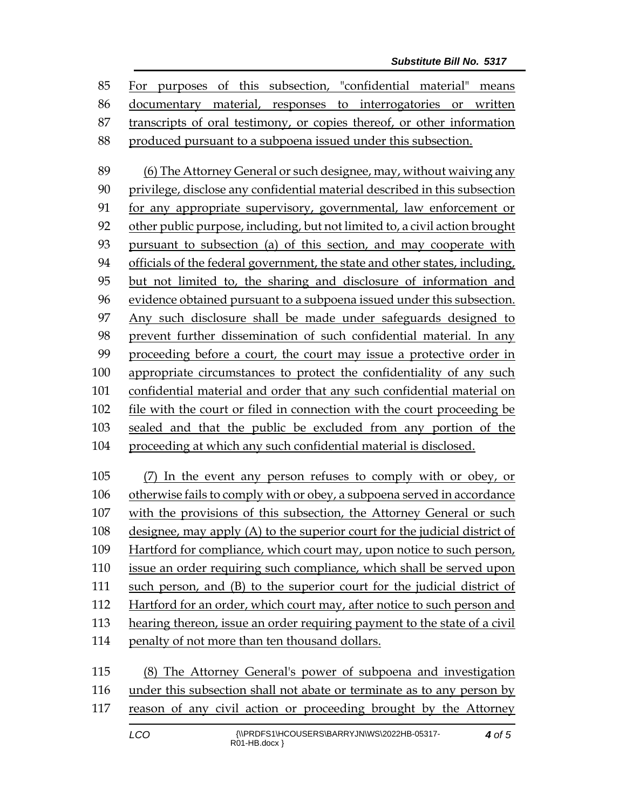For purposes of this subsection, "confidential material" means documentary material, responses to interrogatories or written transcripts of oral testimony, or copies thereof, or other information produced pursuant to a subpoena issued under this subsection.

 (6) The Attorney General or such designee, may, without waiving any privilege, disclose any confidential material described in this subsection for any appropriate supervisory, governmental, law enforcement or other public purpose, including, but not limited to, a civil action brought pursuant to subsection (a) of this section, and may cooperate with officials of the federal government, the state and other states, including, but not limited to, the sharing and disclosure of information and evidence obtained pursuant to a subpoena issued under this subsection. Any such disclosure shall be made under safeguards designed to prevent further dissemination of such confidential material. In any proceeding before a court, the court may issue a protective order in appropriate circumstances to protect the confidentiality of any such confidential material and order that any such confidential material on file with the court or filed in connection with the court proceeding be sealed and that the public be excluded from any portion of the proceeding at which any such confidential material is disclosed.

 (7) In the event any person refuses to comply with or obey, or otherwise fails to comply with or obey, a subpoena served in accordance with the provisions of this subsection, the Attorney General or such designee, may apply (A) to the superior court for the judicial district of Hartford for compliance, which court may, upon notice to such person, issue an order requiring such compliance, which shall be served upon such person, and (B) to the superior court for the judicial district of Hartford for an order, which court may, after notice to such person and hearing thereon, issue an order requiring payment to the state of a civil penalty of not more than ten thousand dollars.

 (8) The Attorney General's power of subpoena and investigation under this subsection shall not abate or terminate as to any person by reason of any civil action or proceeding brought by the Attorney